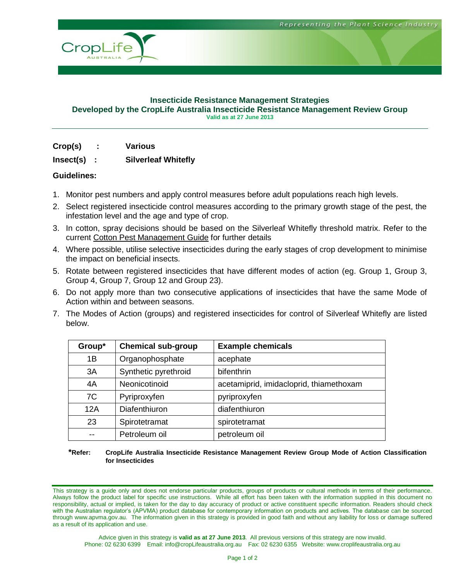

#### **Insecticide Resistance Management Strategies Developed by the CropLife Australia Insecticide Resistance Management Review Group Valid as at 27 June 2013**

## **Crop(s) : Various**

## **Insect(s) : Silverleaf Whitefly**

## **Guidelines:**

- 1. Monitor pest numbers and apply control measures before adult populations reach high levels.
- 2. Select registered insecticide control measures according to the primary growth stage of the pest, the infestation level and the age and type of crop.
- 3. In cotton, spray decisions should be based on the Silverleaf Whitefly threshold matrix. Refer to the current Cotton Pest Management Guide for further details
- 4. Where possible, utilise selective insecticides during the early stages of crop development to minimise the impact on beneficial insects.
- 5. Rotate between registered insecticides that have different modes of action (eg. Group 1, Group 3, Group 4, Group 7, Group 12 and Group 23).
- 6. Do not apply more than two consecutive applications of insecticides that have the same Mode of Action within and between seasons.
- 7. The Modes of Action (groups) and registered insecticides for control of Silverleaf Whitefly are listed below.

| Group* | <b>Chemical sub-group</b> | <b>Example chemicals</b>                |
|--------|---------------------------|-----------------------------------------|
| 1B     | Organophosphate           | acephate                                |
| 3A     | Synthetic pyrethroid      | bifenthrin                              |
| 4A     | Neonicotinoid             | acetamiprid, imidacloprid, thiamethoxam |
| 7C     | Pyriproxyfen              | pyriproxyfen                            |
| 12A    | Diafenthiuron             | diafenthiuron                           |
| 23     | Spirotetramat             | spirotetramat                           |
|        | Petroleum oil             | petroleum oil                           |

#### **\*Refer: CropLife Australia Insecticide Resistance Management Review Group Mode of Action Classification for Insecticides**

This strategy is a guide only and does not endorse particular products, groups of products or cultural methods in terms of their performance. Always follow the product label for specific use instructions. While all effort has been taken with the information supplied in this document no responsibility, actual or implied, is taken for the day to day accuracy of product or active constituent specific information. Readers should check with the Australian regulator's (APVMA) product database for contemporary information on products and actives. The database can be sourced through www.apvma.gov.au. The information given in this strategy is provided in good faith and without any liability for loss or damage suffered as a result of its application and use.